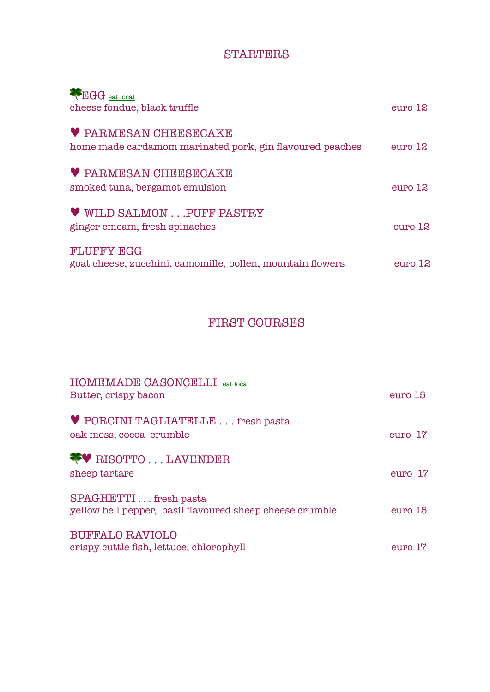### **STARTERS**

| EGG eat local<br>cheese fondue, black truffle                                            | $e$ uro 12 |
|------------------------------------------------------------------------------------------|------------|
| <b>V PARMESAN CHEESECAKE</b><br>home made cardamom marinated pork, gin flavoured peaches | euro 12    |
| <b>V PARMESAN CHEESECAKE</b><br>smoked tuna, bergamot emulsion                           | $e$ uro 12 |
| <b>V</b> WILD SALMON PUFF PASTRY<br>ginger cmeam, fresh spinaches                        | euro 12    |
| <b>FLUFFY EGG</b><br>goat cheese, zucchini, camomille, pollen, mountain flowers          | $e$ uro 12 |

### FIRST COURSES

| HOMEMADE CASONCELLI eat local<br>Butter, crispy bacon                             | euro 15    |
|-----------------------------------------------------------------------------------|------------|
| PORCINI TAGLIATELLE fresh pasta<br>oak moss, cocoa crumble                        | $e$ uro 17 |
| <b>WE RISOTTOLAVENDER</b><br>sheep tartare                                        | euro 17    |
| SPAGHETTI fresh pasta<br>yellow bell pepper, basil flavoured sheep cheese crumble | euro 15    |
| <b>BUFFALO RAVIOLO</b><br>crispy cuttle fish, lettuce, chlorophyll                | euro 17    |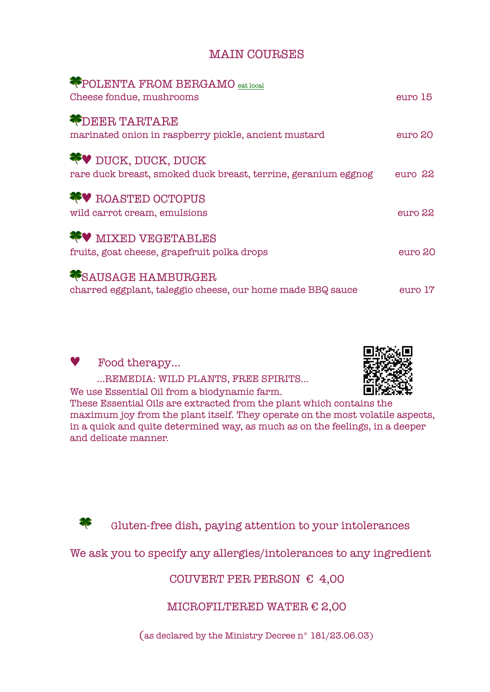### MAIN COURSES

| <b>*POLENTA FROM BERGAMO</b> eat local<br>Cheese fondue, mushrooms                           | euro 15 |
|----------------------------------------------------------------------------------------------|---------|
| <b>PDEER TARTARE</b><br>marinated onion in raspberry pickle, ancient mustard                 | euro 20 |
| <b>FV</b> DUCK, DUCK, DUCK<br>rare duck breast, smoked duck breast, terrine, geranium eggnog | euro 22 |
| <b>**</b> ROASTED OCTOPUS<br>wild carrot cream, emulsions                                    | euro 22 |
| <b>FV MIXED VEGETABLES</b><br>fruits, goat cheese, grapefruit polka drops                    | euro 20 |
| <b>VSAUSAGE HAMBURGER</b><br>charred eggplant, taleggio cheese, our home made BBQ sauce      | euro 17 |



Food therapy...

…REMEDIA: WILD PLANTS, FREE SPIRITS…



We use Essential Oil from a biodynamic farm.

These Essential Oils are extracted from the plant which contains the maximum joy from the plant itself. They operate on the most volatile aspects, in a quick and quite determined way, as much as on the feelings, in a deeper and delicate manner.

Gluten-free dish, paying attention to your intolerances

We ask you to specify any allergies/intolerances to any ingredient

COUVERT PER PERSON  $\epsilon$  4,00

MICROFILTERED WATER  $\in$  2,00

(as declared by the Ministry Decree n° 181/23.06.03)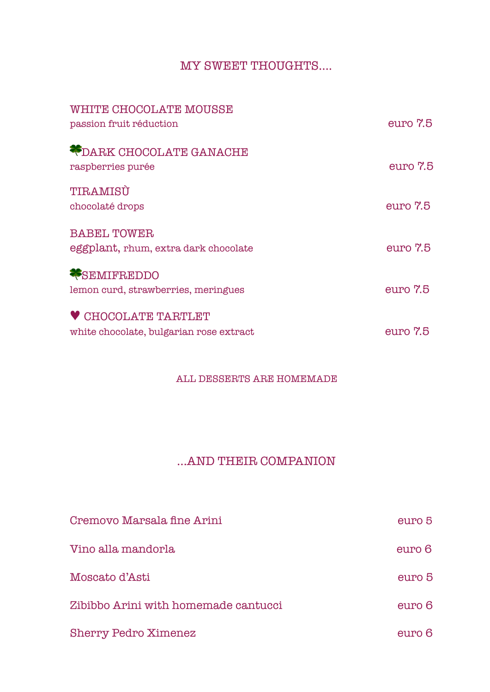### MY SWEET THOUGHTS….

| WHITE CHOCOLATE MOUSSE<br>passion fruit réduction                     | euro 7.5 |
|-----------------------------------------------------------------------|----------|
| <b>ODARK CHOCOLATE GANACHE</b><br>raspberries purée                   | euro 7.5 |
| TIRAMISÙ<br>chocolaté drops                                           | euro 7.5 |
| <b>BABEL TOWER</b><br>eggplant, rhum, extra dark chocolate            | euro 7.5 |
| <b>*SEMIFREDDO</b><br>lemon curd, strawberries, meringues             | euro 7.5 |
| <b>V CHOCOLATE TARTLET</b><br>white chocolate, bulgarian rose extract | euro 7.5 |

#### ALL DESSERTS ARE HOMEMADE

### …AND THEIR COMPANION

| Cremovo Marsala fine Arini           | euro 5 |
|--------------------------------------|--------|
| Vino alla mandorla                   | euro 6 |
| Moscato d'Asti                       | euro 5 |
| Zibibbo Arini with homemade cantucci | euro 6 |
| <b>Sherry Pedro Ximenez</b>          | euro 6 |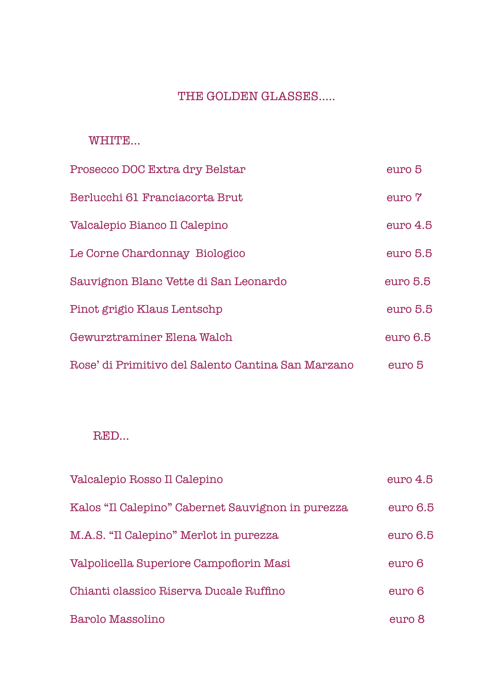### THE GOLDEN GLASSES.....

#### WHITE…

| Prosecco DOC Extra dry Belstar                     | euro 5   |
|----------------------------------------------------|----------|
| Berlucchi 61 Franciacorta Brut                     | euro 7   |
| Valcalepio Bianco Il Calepino                      | euro 4.5 |
| Le Corne Chardonnay Biologico                      | euro 5.5 |
| Sauvignon Blanc Vette di San Leonardo              | euro 5.5 |
| Pinot grigio Klaus Lentschp                        | euro 5.5 |
| Gewurztraminer Elena Walch                         | euro 6.5 |
| Rose' di Primitivo del Salento Cantina San Marzano | euro 5   |

#### RED…

| Valcalepio Rosso Il Calepino                      | euro <sub>4.5</sub> |
|---------------------------------------------------|---------------------|
| Kalos "Il Calepino" Cabernet Sauvignon in purezza | euro 6.5            |
| M.A.S. "Il Calepino" Merlot in purezza            | euro 6.5            |
| Valpolicella Superiore Campofiorin Masi           | euro 6              |
| Chianti classico Riserva Ducale Ruffino           | euro 6              |
| Barolo Massolino                                  | euro 8              |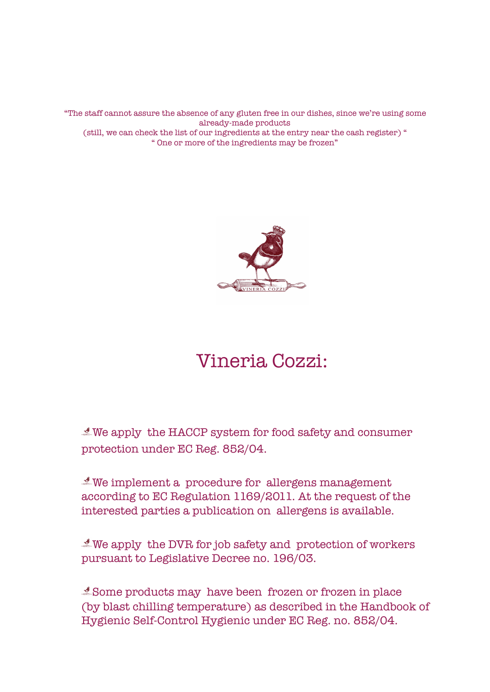"The staff cannot assure the absence of any gluten free in our dishes, since we're using some already-made products (still, we can check the list of our ingredients at the entry near the cash register) " " One or more of the ingredients may be frozen"



# Vineria Cozzi:

We apply the HACCP system for food safety and consumer protection under EC Reg. 852/04.

We implement a procedure for allergens management according to EC Regulation 1169/2011. At the request of the interested parties a publication on allergens is available.

 $\mathcal A$  We apply the DVR for job safety and protection of workers pursuant to Legislative Decree no. 196/03.

Some products may have been frozen or frozen in place (by blast chilling temperature) as described in the Handbook of Hygienic Self-Control Hygienic under EC Reg. no. 852/04.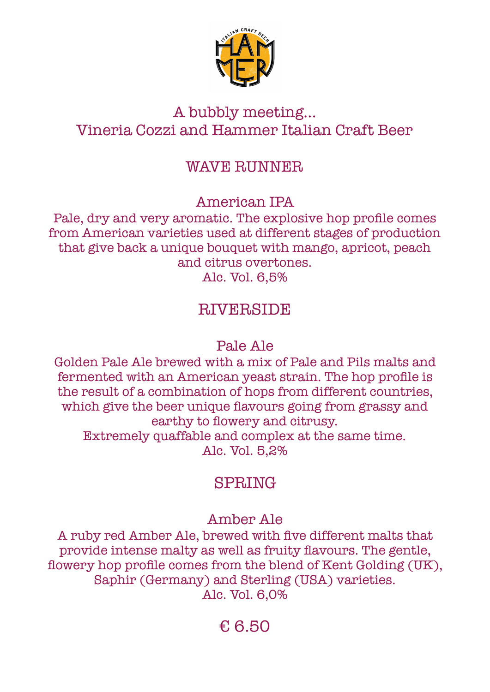

### A bubbly meeting… Vineria Cozzi and Hammer Italian Craft Beer

### WAVE RUNNER

American IPA

Pale, dry and very aromatic. The explosive hop profile comes from American varieties used at different stages of production that give back a unique bouquet with mango, apricot, peach and citrus overtones. Alc. Vol. 6,5%

## **RIVERSIDE**

### Pale Ale

Golden Pale Ale brewed with a mix of Pale and Pils malts and fermented with an American yeast strain. The hop profile is the result of a combination of hops from different countries, which give the beer unique flavours going from grassy and earthy to flowery and citrusy. Extremely quaffable and complex at the same time. Alc. Vol. 5,2%

## SPRING

## Amber Ale

A ruby red Amber Ale, brewed with five different malts that provide intense malty as well as fruity flavours. The gentle, flowery hop profile comes from the blend of Kent Golding (UK), Saphir (Germany) and Sterling (USA) varieties. Alc. Vol. 6,0%

## € 6.50